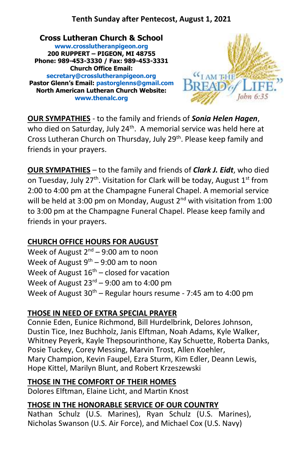### **Tenth Sunday after Pentecost, August 1, 2021**

**Cross Lutheran Church & School [www.crosslutheranpigeon.org](http://www.crosslutheranpigeon.org/) 200 RUPPERT – PIGEON, MI 48755 Phone: 989-453-3330 / Fax: 989-453-3331 Church Office Email: [secretary@crosslutheranpigeon.org](mailto:secretary@crosslutheranpigeon.org) Pastor Glenn's Email: [pastorglenns@gmail.com](mailto:pastorglenns@gmail.com) North American Lutheran Church Website: [www.thenalc.org](http://www.thenalc.org/)**



**OUR SYMPATHIES** - to the family and friends of *Sonia Helen Hagen*, who died on Saturday, July 24<sup>th</sup>. A memorial service was held here at Cross Lutheran Church on Thursday, July 29<sup>th</sup>. Please keep family and friends in your prayers.

**OUR SYMPATHIES** – to the family and friends of *Clark J. Eidt*, who died on Tuesday, July 27<sup>th</sup>. Visitation for Clark will be today, August 1<sup>st</sup> from 2:00 to 4:00 pm at the Champagne Funeral Chapel. A memorial service will be held at 3:00 pm on Monday, August  $2<sup>nd</sup>$  with visitation from 1:00 to 3:00 pm at the Champagne Funeral Chapel. Please keep family and friends in your prayers.

#### **CHURCH OFFICE HOURS FOR AUGUST**

Week of August  $2^{nd}$  – 9:00 am to noon Week of August  $9<sup>th</sup> - 9:00$  am to noon Week of August  $16<sup>th</sup>$  – closed for vacation Week of August  $23^{rd}$  – 9:00 am to 4:00 pm Week of August  $30^{th}$  – Regular hours resume - 7:45 am to 4:00 pm

#### **THOSE IN NEED OF EXTRA SPECIAL PRAYER**

Connie Eden, Eunice Richmond, Bill Hurdelbrink, Delores Johnson, Dustin Tice, Inez Buchholz, Janis Elftman, Noah Adams, Kyle Walker, Whitney Peyerk, Kayle Thepsourinthone, Kay Schuette, Roberta Danks, Posie Tuckey, Corey Messing, Marvin Trost, Allen Koehler, Mary Champion, Kevin Faupel, Ezra Sturm, Kim Edler, Deann Lewis, Hope Kittel, Marilyn Blunt, and Robert Krzeszewski

#### **THOSE IN THE COMFORT OF THEIR HOMES**

Dolores Elftman, Elaine Licht, and Martin Knost

#### **THOSE IN THE HONORABLE SERVICE OF OUR COUNTRY**

Nathan Schulz (U.S. Marines), Ryan Schulz (U.S. Marines), Nicholas Swanson (U.S. Air Force), and Michael Cox (U.S. Navy)